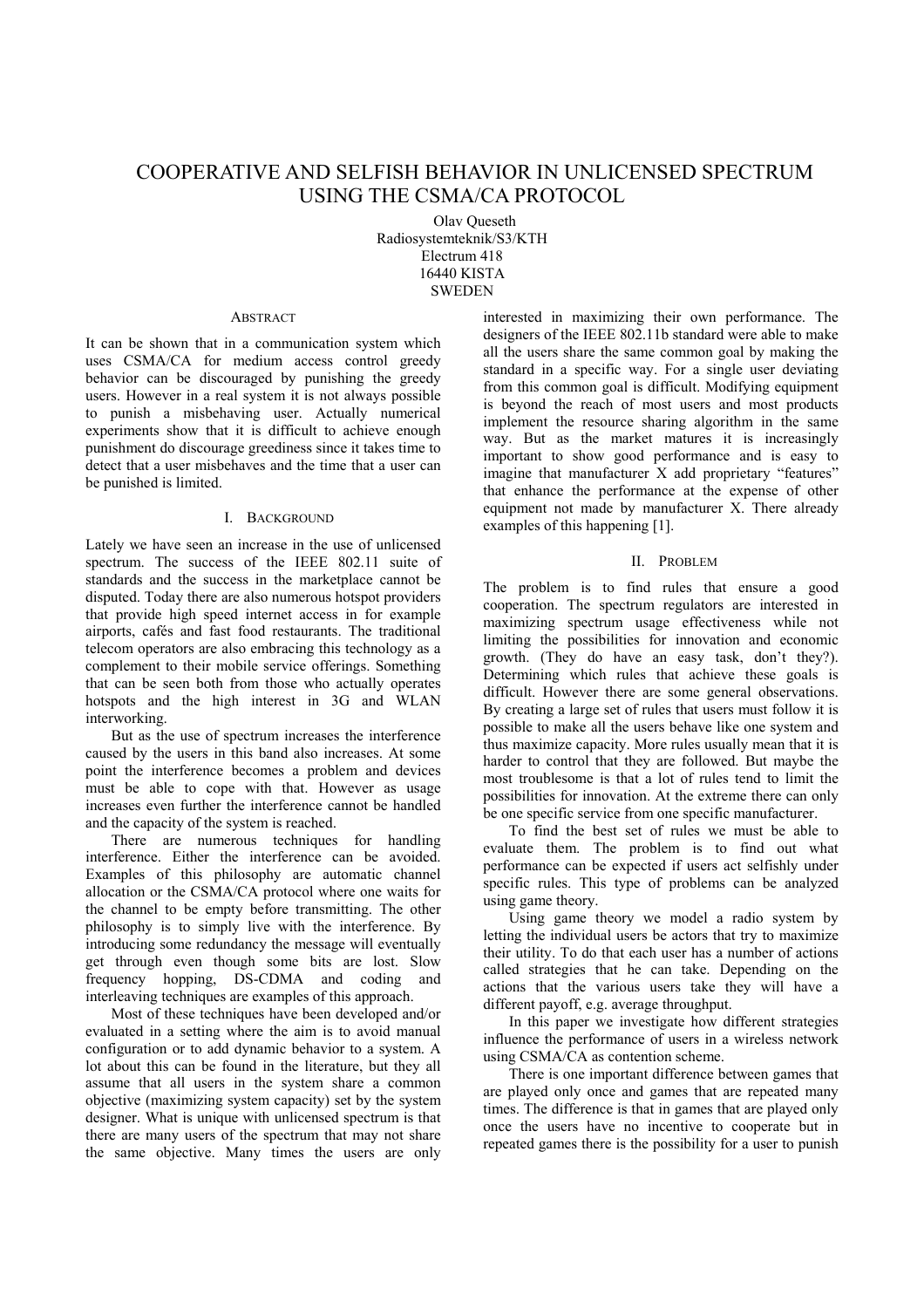# COOPERATIVE AND SELFISH BEHAVIOR IN UNLICENSED SPECTRUM USING THE CSMA/CA PROTOCOL

Olav Queseth Radiosystemteknik/S3/KTH Electrum 418 16440 KISTA **SWEDEN** 

#### ABSTRACT

It can be shown that in a communication system which uses CSMA/CA for medium access control greedy behavior can be discouraged by punishing the greedy users. However in a real system it is not always possible to punish a misbehaving user. Actually numerical experiments show that it is difficult to achieve enough punishment do discourage greediness since it takes time to detect that a user misbehaves and the time that a user can be punished is limited.

# I. BACKGROUND

Lately we have seen an increase in the use of unlicensed spectrum. The success of the IEEE 802.11 suite of standards and the success in the marketplace cannot be disputed. Today there are also numerous hotspot providers that provide high speed internet access in for example airports, cafés and fast food restaurants. The traditional telecom operators are also embracing this technology as a complement to their mobile service offerings. Something that can be seen both from those who actually operates hotspots and the high interest in 3G and WLAN interworking.

But as the use of spectrum increases the interference caused by the users in this band also increases. At some point the interference becomes a problem and devices must be able to cope with that. However as usage increases even further the interference cannot be handled and the capacity of the system is reached.

There are numerous techniques for handling interference. Either the interference can be avoided. Examples of this philosophy are automatic channel allocation or the CSMA/CA protocol where one waits for the channel to be empty before transmitting. The other philosophy is to simply live with the interference. By introducing some redundancy the message will eventually get through even though some bits are lost. Slow frequency hopping, DS-CDMA and coding and interleaving techniques are examples of this approach.

Most of these techniques have been developed and/or evaluated in a setting where the aim is to avoid manual configuration or to add dynamic behavior to a system. A lot about this can be found in the literature, but they all assume that all users in the system share a common objective (maximizing system capacity) set by the system designer. What is unique with unlicensed spectrum is that there are many users of the spectrum that may not share the same objective. Many times the users are only interested in maximizing their own performance. The designers of the IEEE 802.11b standard were able to make all the users share the same common goal by making the standard in a specific way. For a single user deviating from this common goal is difficult. Modifying equipment is beyond the reach of most users and most products implement the resource sharing algorithm in the same way. But as the market matures it is increasingly important to show good performance and is easy to imagine that manufacturer X add proprietary "features" that enhance the performance at the expense of other equipment not made by manufacturer X. There already examples of this happening [1].

#### II. PROBLEM

The problem is to find rules that ensure a good cooperation. The spectrum regulators are interested in maximizing spectrum usage effectiveness while not limiting the possibilities for innovation and economic growth. (They do have an easy task, don't they?). Determining which rules that achieve these goals is difficult. However there are some general observations. By creating a large set of rules that users must follow it is possible to make all the users behave like one system and thus maximize capacity. More rules usually mean that it is harder to control that they are followed. But maybe the most troublesome is that a lot of rules tend to limit the possibilities for innovation. At the extreme there can only be one specific service from one specific manufacturer.

To find the best set of rules we must be able to evaluate them. The problem is to find out what performance can be expected if users act selfishly under specific rules. This type of problems can be analyzed using game theory.

Using game theory we model a radio system by letting the individual users be actors that try to maximize their utility. To do that each user has a number of actions called strategies that he can take. Depending on the actions that the various users take they will have a different payoff, e.g. average throughput.

In this paper we investigate how different strategies influence the performance of users in a wireless network using CSMA/CA as contention scheme.

There is one important difference between games that are played only once and games that are repeated many times. The difference is that in games that are played only once the users have no incentive to cooperate but in repeated games there is the possibility for a user to punish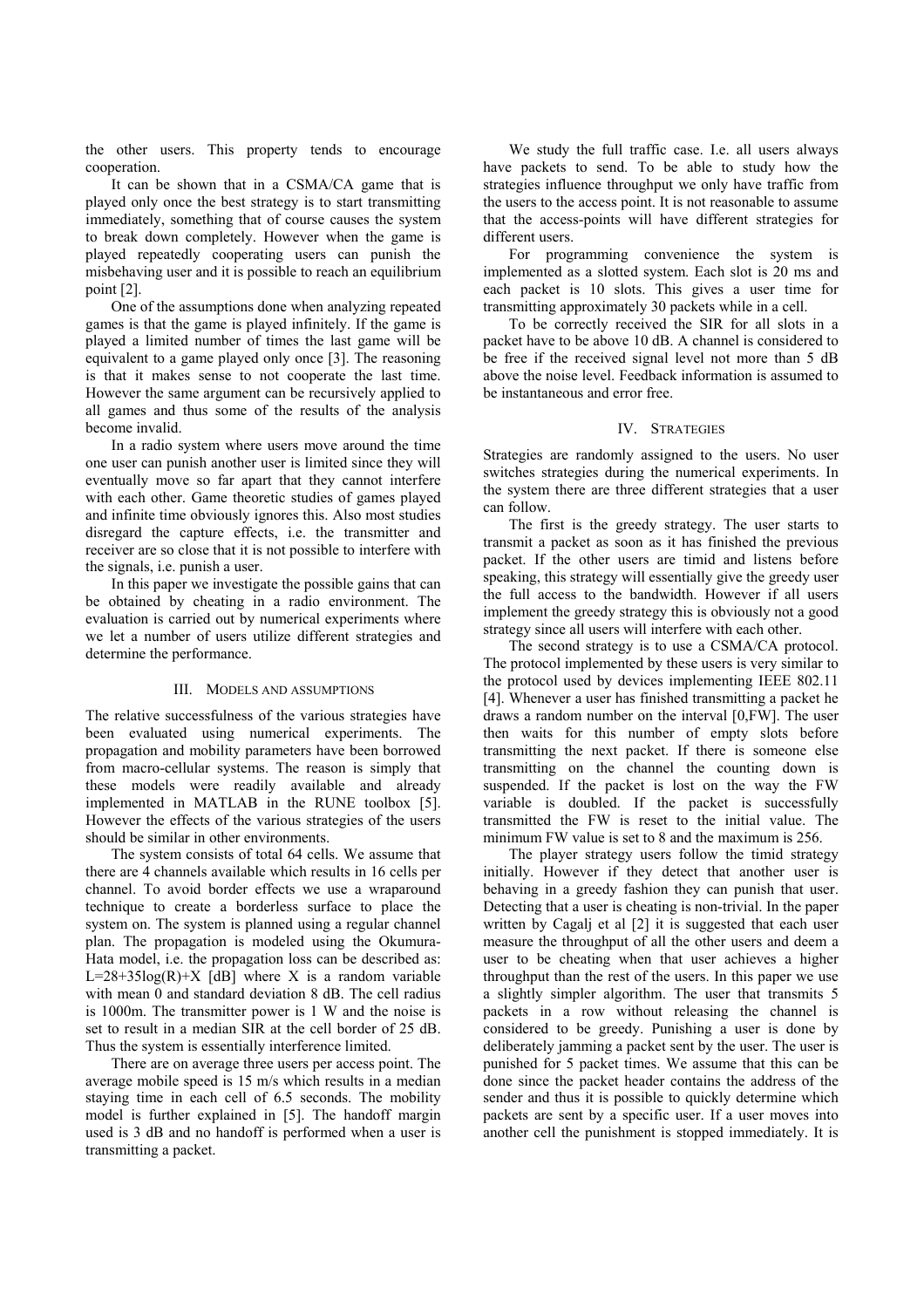the other users. This property tends to encourage cooperation.

It can be shown that in a CSMA/CA game that is played only once the best strategy is to start transmitting immediately, something that of course causes the system to break down completely. However when the game is played repeatedly cooperating users can punish the misbehaving user and it is possible to reach an equilibrium point [2].

One of the assumptions done when analyzing repeated games is that the game is played infinitely. If the game is played a limited number of times the last game will be equivalent to a game played only once [3]. The reasoning is that it makes sense to not cooperate the last time. However the same argument can be recursively applied to all games and thus some of the results of the analysis become invalid.

In a radio system where users move around the time one user can punish another user is limited since they will eventually move so far apart that they cannot interfere with each other. Game theoretic studies of games played and infinite time obviously ignores this. Also most studies disregard the capture effects, i.e. the transmitter and receiver are so close that it is not possible to interfere with the signals, i.e. punish a user.

In this paper we investigate the possible gains that can be obtained by cheating in a radio environment. The evaluation is carried out by numerical experiments where we let a number of users utilize different strategies and determine the performance.

#### III. MODELS AND ASSUMPTIONS

The relative successfulness of the various strategies have been evaluated using numerical experiments. The propagation and mobility parameters have been borrowed from macro-cellular systems. The reason is simply that these models were readily available and already implemented in MATLAB in the RUNE toolbox [5]. However the effects of the various strategies of the users should be similar in other environments.

The system consists of total 64 cells. We assume that there are 4 channels available which results in 16 cells per channel. To avoid border effects we use a wraparound technique to create a borderless surface to place the system on. The system is planned using a regular channel plan. The propagation is modeled using the Okumura-Hata model, i.e. the propagation loss can be described as:  $L=28+35\log(R)+X$  [dB] where X is a random variable with mean 0 and standard deviation 8 dB. The cell radius is 1000m. The transmitter power is 1 W and the noise is set to result in a median SIR at the cell border of 25 dB. Thus the system is essentially interference limited.

There are on average three users per access point. The average mobile speed is 15 m/s which results in a median staying time in each cell of 6.5 seconds. The mobility model is further explained in [5]. The handoff margin used is 3 dB and no handoff is performed when a user is transmitting a packet.

We study the full traffic case. I.e. all users always have packets to send. To be able to study how the strategies influence throughput we only have traffic from the users to the access point. It is not reasonable to assume that the access-points will have different strategies for different users.

For programming convenience the system is implemented as a slotted system. Each slot is 20 ms and each packet is 10 slots. This gives a user time for transmitting approximately 30 packets while in a cell.

To be correctly received the SIR for all slots in a packet have to be above 10 dB. A channel is considered to be free if the received signal level not more than 5 dB above the noise level. Feedback information is assumed to be instantaneous and error free.

#### IV. STRATEGIES

Strategies are randomly assigned to the users. No user switches strategies during the numerical experiments. In the system there are three different strategies that a user can follow.

The first is the greedy strategy. The user starts to transmit a packet as soon as it has finished the previous packet. If the other users are timid and listens before speaking, this strategy will essentially give the greedy user the full access to the bandwidth. However if all users implement the greedy strategy this is obviously not a good strategy since all users will interfere with each other.

The second strategy is to use a CSMA/CA protocol. The protocol implemented by these users is very similar to the protocol used by devices implementing IEEE 802.11 [4]. Whenever a user has finished transmitting a packet he draws a random number on the interval [0,FW]. The user then waits for this number of empty slots before transmitting the next packet. If there is someone else transmitting on the channel the counting down is suspended. If the packet is lost on the way the FW variable is doubled. If the packet is successfully transmitted the FW is reset to the initial value. The minimum FW value is set to 8 and the maximum is 256.

The player strategy users follow the timid strategy initially. However if they detect that another user is behaving in a greedy fashion they can punish that user. Detecting that a user is cheating is non-trivial. In the paper written by Cagalj et al [2] it is suggested that each user measure the throughput of all the other users and deem a user to be cheating when that user achieves a higher throughput than the rest of the users. In this paper we use a slightly simpler algorithm. The user that transmits 5 packets in a row without releasing the channel is considered to be greedy. Punishing a user is done by deliberately jamming a packet sent by the user. The user is punished for 5 packet times. We assume that this can be done since the packet header contains the address of the sender and thus it is possible to quickly determine which packets are sent by a specific user. If a user moves into another cell the punishment is stopped immediately. It is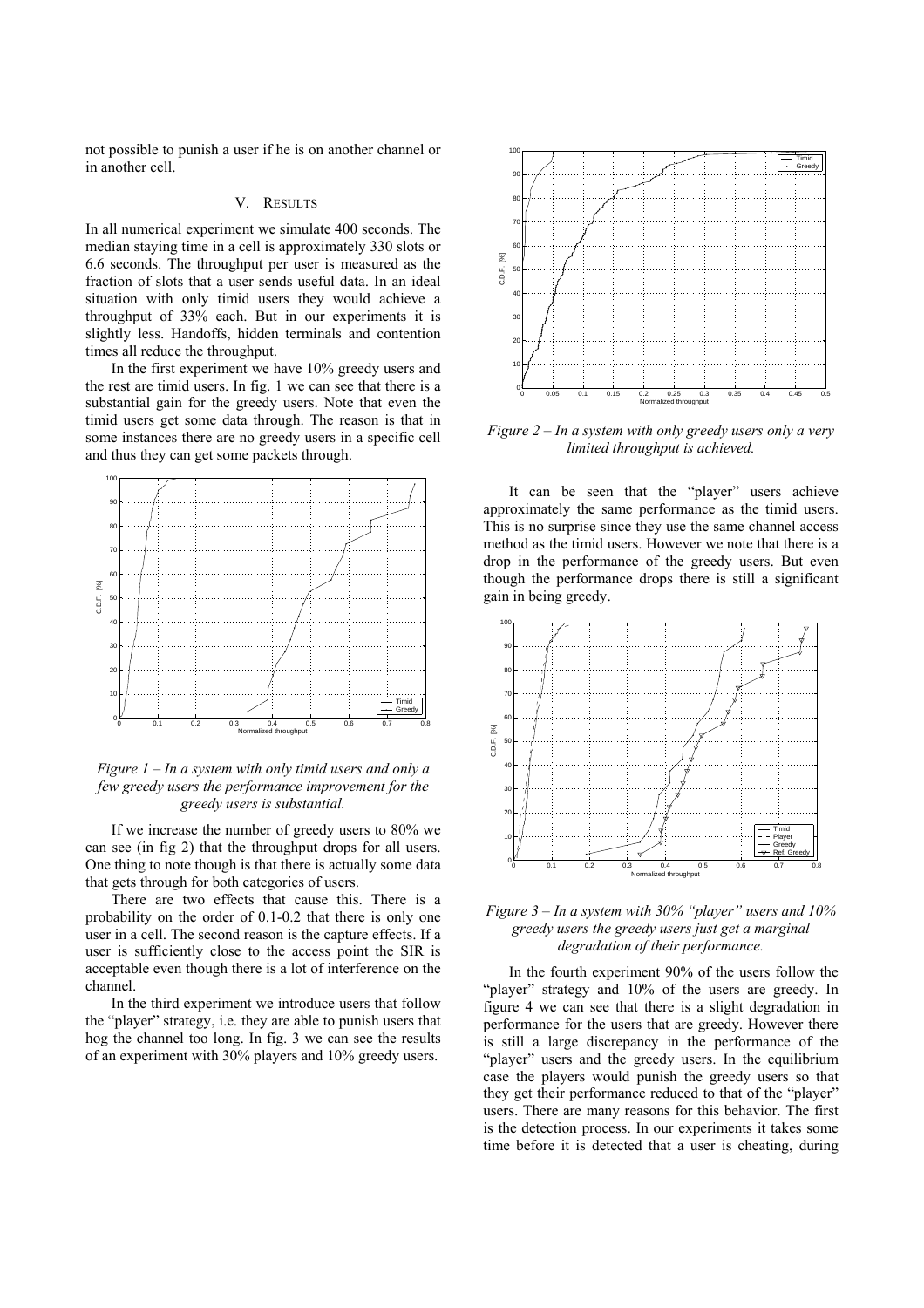not possible to punish a user if he is on another channel or in another cell.

# V. RESULTS

In all numerical experiment we simulate 400 seconds. The median staying time in a cell is approximately 330 slots or 6.6 seconds. The throughput per user is measured as the fraction of slots that a user sends useful data. In an ideal situation with only timid users they would achieve a throughput of 33% each. But in our experiments it is slightly less. Handoffs, hidden terminals and contention times all reduce the throughput.

In the first experiment we have 10% greedy users and the rest are timid users. In fig. 1 we can see that there is a substantial gain for the greedy users. Note that even the timid users get some data through. The reason is that in some instances there are no greedy users in a specific cell and thus they can get some packets through.



*Figure 1 – In a system with only timid users and only a few greedy users the performance improvement for the greedy users is substantial.* 

If we increase the number of greedy users to 80% we can see (in fig 2) that the throughput drops for all users. One thing to note though is that there is actually some data that gets through for both categories of users.

There are two effects that cause this. There is a probability on the order of 0.1-0.2 that there is only one user in a cell. The second reason is the capture effects. If a user is sufficiently close to the access point the SIR is acceptable even though there is a lot of interference on the channel.

In the third experiment we introduce users that follow the "player" strategy, i.e. they are able to punish users that hog the channel too long. In fig. 3 we can see the results of an experiment with 30% players and 10% greedy users.



*Figure 2 – In a system with only greedy users only a very limited throughput is achieved.* 

It can be seen that the "player" users achieve approximately the same performance as the timid users. This is no surprise since they use the same channel access method as the timid users. However we note that there is a drop in the performance of the greedy users. But even though the performance drops there is still a significant gain in being greedy.



*Figure 3 – In a system with 30% "player" users and 10% greedy users the greedy users just get a marginal degradation of their performance.* 

In the fourth experiment 90% of the users follow the "player" strategy and 10% of the users are greedy. In figure 4 we can see that there is a slight degradation in performance for the users that are greedy. However there is still a large discrepancy in the performance of the "player" users and the greedy users. In the equilibrium case the players would punish the greedy users so that they get their performance reduced to that of the "player" users. There are many reasons for this behavior. The first is the detection process. In our experiments it takes some time before it is detected that a user is cheating, during